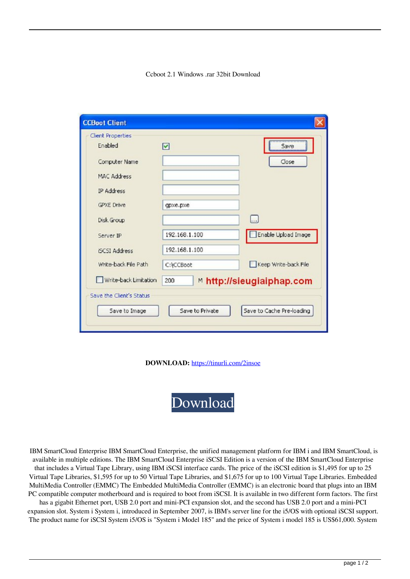## Ccboot 2.1 Windows .rar 32bit Download

| <b>Client Properties</b><br>Enabled |               |                                             |
|-------------------------------------|---------------|---------------------------------------------|
|                                     | ☑             | Save                                        |
| Computer Name                       |               | Close                                       |
| <b>MAC Address</b>                  |               |                                             |
| <b>IP Address</b>                   |               |                                             |
| <b>GPXE Drive</b>                   | qpxe.pxe      |                                             |
| Disk Group                          |               | a.                                          |
| Server IP                           | 192.168.1.100 | Enable Upload Image                         |
| <b>ISCSI Address</b>                | 192.168.1.100 |                                             |
| Write-back File Path                | C:\CCBoot     | Keep Write-back File                        |
| Write-back Limitation               | 200           | <b><sup>™</sup> http://sieugiaiphap.com</b> |
| Save the Client's Status            |               |                                             |
|                                     |               |                                             |

**DOWNLOAD:** <https://tinurli.com/2insoe>

[Download](https://tinurli.com/2insoe)

 IBM SmartCloud Enterprise IBM SmartCloud Enterprise, the unified management platform for IBM i and IBM SmartCloud, is available in multiple editions. The IBM SmartCloud Enterprise iSCSI Edition is a version of the IBM SmartCloud Enterprise that includes a Virtual Tape Library, using IBM iSCSI interface cards. The price of the iSCSI edition is \$1,495 for up to 25 Virtual Tape Libraries, \$1,595 for up to 50 Virtual Tape Libraries, and \$1,675 for up to 100 Virtual Tape Libraries. Embedded MultiMedia Controller (EMMC) The Embedded MultiMedia Controller (EMMC) is an electronic board that plugs into an IBM PC compatible computer motherboard and is required to boot from iSCSI. It is available in two different form factors. The first has a gigabit Ethernet port, USB 2.0 port and mini-PCI expansion slot, and the second has USB 2.0 port and a mini-PCI expansion slot. System i System i, introduced in September 2007, is IBM's server line for the i5/OS with optional iSCSI support. The product name for iSCSI System i5/OS is "System i Model 185" and the price of System i model 185 is US\$61,000. System